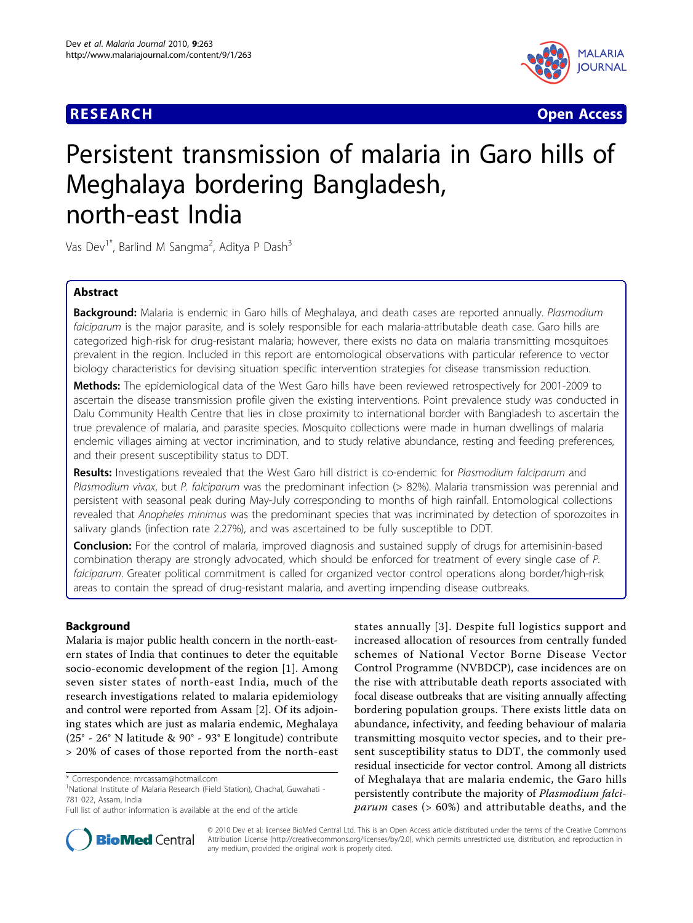

**RESEARCH CONTROL** CONTROL CONTROL CONTROL CONTROL CONTROL CONTROL CONTROL CONTROL CONTROL CONTROL CONTROL CONTROL

# Persistent transmission of malaria in Garo hills of Meghalaya bordering Bangladesh, north-east India

Vas Dev<sup>1\*</sup>, Barlind M Sangma<sup>2</sup>, Aditya P Dash<sup>3</sup>

# Abstract

Background: Malaria is endemic in Garo hills of Meghalaya, and death cases are reported annually. Plasmodium falciparum is the major parasite, and is solely responsible for each malaria-attributable death case. Garo hills are categorized high-risk for drug-resistant malaria; however, there exists no data on malaria transmitting mosquitoes prevalent in the region. Included in this report are entomological observations with particular reference to vector biology characteristics for devising situation specific intervention strategies for disease transmission reduction.

Methods: The epidemiological data of the West Garo hills have been reviewed retrospectively for 2001-2009 to ascertain the disease transmission profile given the existing interventions. Point prevalence study was conducted in Dalu Community Health Centre that lies in close proximity to international border with Bangladesh to ascertain the true prevalence of malaria, and parasite species. Mosquito collections were made in human dwellings of malaria endemic villages aiming at vector incrimination, and to study relative abundance, resting and feeding preferences, and their present susceptibility status to DDT.

Results: Investigations revealed that the West Garo hill district is co-endemic for Plasmodium falciparum and Plasmodium vivax, but P. falciparum was the predominant infection (> 82%). Malaria transmission was perennial and persistent with seasonal peak during May-July corresponding to months of high rainfall. Entomological collections revealed that Anopheles minimus was the predominant species that was incriminated by detection of sporozoites in salivary glands (infection rate 2.27%), and was ascertained to be fully susceptible to DDT.

**Conclusion:** For the control of malaria, improved diagnosis and sustained supply of drugs for artemisinin-based combination therapy are strongly advocated, which should be enforced for treatment of every single case of P. falciparum. Greater political commitment is called for organized vector control operations along border/high-risk areas to contain the spread of drug-resistant malaria, and averting impending disease outbreaks.

# Background

Malaria is major public health concern in the north-eastern states of India that continues to deter the equitable socio-economic development of the region [[1\]](#page-6-0). Among seven sister states of north-east India, much of the research investigations related to malaria epidemiology and control were reported from Assam [[2\]](#page-6-0). Of its adjoining states which are just as malaria endemic, Meghalaya (25° - 26° N latitude & 90° - 93° E longitude) contribute > 20% of cases of those reported from the north-east

states annually [[3](#page-6-0)]. Despite full logistics support and increased allocation of resources from centrally funded schemes of National Vector Borne Disease Vector Control Programme (NVBDCP), case incidences are on the rise with attributable death reports associated with focal disease outbreaks that are visiting annually affecting bordering population groups. There exists little data on abundance, infectivity, and feeding behaviour of malaria transmitting mosquito vector species, and to their present susceptibility status to DDT, the commonly used residual insecticide for vector control. Among all districts of Meghalaya that are malaria endemic, the Garo hills persistently contribute the majority of Plasmodium falciparum cases (> 60%) and attributable deaths, and the



© 2010 Dev et al; licensee BioMed Central Ltd. This is an Open Access article distributed under the terms of the Creative Commons Attribution License [\(http://creativecommons.org/licenses/by/2.0](http://creativecommons.org/licenses/by/2.0)), which permits unrestricted use, distribution, and reproduction in any medium, provided the original work is properly cited.

<sup>\*</sup> Correspondence: [mrcassam@hotmail.com](mailto:mrcassam@hotmail.com)

<sup>&</sup>lt;sup>1</sup>National Institute of Malaria Research (Field Station), Chachal, Guwahati -781 022, Assam, India

Full list of author information is available at the end of the article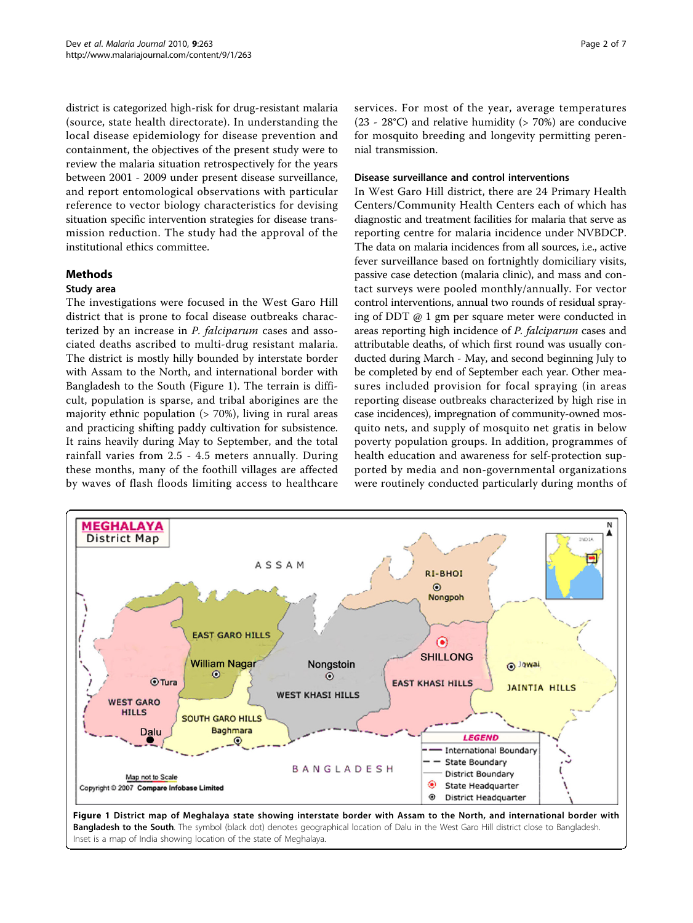<span id="page-1-0"></span>district is categorized high-risk for drug-resistant malaria (source, state health directorate). In understanding the local disease epidemiology for disease prevention and containment, the objectives of the present study were to review the malaria situation retrospectively for the years between 2001 - 2009 under present disease surveillance, and report entomological observations with particular reference to vector biology characteristics for devising situation specific intervention strategies for disease transmission reduction. The study had the approval of the institutional ethics committee.

# Methods

#### Study area

The investigations were focused in the West Garo Hill district that is prone to focal disease outbreaks characterized by an increase in P. falciparum cases and associated deaths ascribed to multi-drug resistant malaria. The district is mostly hilly bounded by interstate border with Assam to the North, and international border with Bangladesh to the South (Figure 1). The terrain is difficult, population is sparse, and tribal aborigines are the majority ethnic population (> 70%), living in rural areas and practicing shifting paddy cultivation for subsistence. It rains heavily during May to September, and the total rainfall varies from 2.5 - 4.5 meters annually. During these months, many of the foothill villages are affected by waves of flash floods limiting access to healthcare services. For most of the year, average temperatures (23 - 28°C) and relative humidity ( $>$  70%) are conducive for mosquito breeding and longevity permitting perennial transmission.

#### Disease surveillance and control interventions

In West Garo Hill district, there are 24 Primary Health Centers/Community Health Centers each of which has diagnostic and treatment facilities for malaria that serve as reporting centre for malaria incidence under NVBDCP. The data on malaria incidences from all sources, i.e., active fever surveillance based on fortnightly domiciliary visits, passive case detection (malaria clinic), and mass and contact surveys were pooled monthly/annually. For vector control interventions, annual two rounds of residual spraying of DDT @ 1 gm per square meter were conducted in areas reporting high incidence of P. falciparum cases and attributable deaths, of which first round was usually conducted during March - May, and second beginning July to be completed by end of September each year. Other measures included provision for focal spraying (in areas reporting disease outbreaks characterized by high rise in case incidences), impregnation of community-owned mosquito nets, and supply of mosquito net gratis in below poverty population groups. In addition, programmes of health education and awareness for self-protection supported by media and non-governmental organizations were routinely conducted particularly during months of

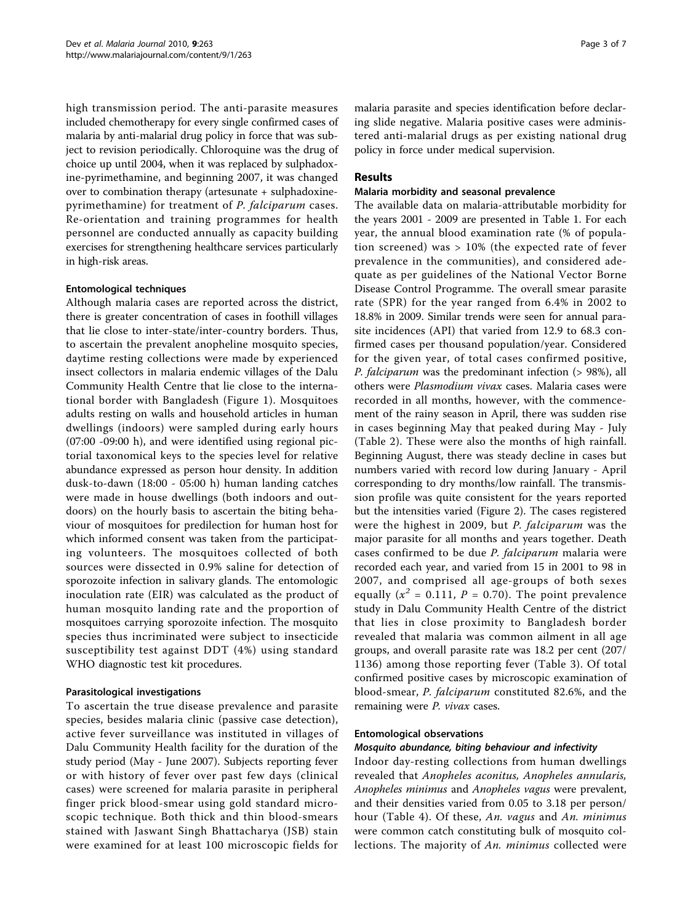high transmission period. The anti-parasite measures included chemotherapy for every single confirmed cases of malaria by anti-malarial drug policy in force that was subject to revision periodically. Chloroquine was the drug of choice up until 2004, when it was replaced by sulphadoxine-pyrimethamine, and beginning 2007, it was changed over to combination therapy (artesunate + sulphadoxinepyrimethamine) for treatment of P. falciparum cases. Re-orientation and training programmes for health personnel are conducted annually as capacity building exercises for strengthening healthcare services particularly in high-risk areas.

# Entomological techniques

Although malaria cases are reported across the district, there is greater concentration of cases in foothill villages that lie close to inter-state/inter-country borders. Thus, to ascertain the prevalent anopheline mosquito species, daytime resting collections were made by experienced insect collectors in malaria endemic villages of the Dalu Community Health Centre that lie close to the international border with Bangladesh (Figure [1](#page-1-0)). Mosquitoes adults resting on walls and household articles in human dwellings (indoors) were sampled during early hours (07:00 -09:00 h), and were identified using regional pictorial taxonomical keys to the species level for relative abundance expressed as person hour density. In addition dusk-to-dawn (18:00 - 05:00 h) human landing catches were made in house dwellings (both indoors and outdoors) on the hourly basis to ascertain the biting behaviour of mosquitoes for predilection for human host for which informed consent was taken from the participating volunteers. The mosquitoes collected of both sources were dissected in 0.9% saline for detection of sporozoite infection in salivary glands. The entomologic inoculation rate (EIR) was calculated as the product of human mosquito landing rate and the proportion of mosquitoes carrying sporozoite infection. The mosquito species thus incriminated were subject to insecticide susceptibility test against DDT (4%) using standard WHO diagnostic test kit procedures.

# Parasitological investigations

To ascertain the true disease prevalence and parasite species, besides malaria clinic (passive case detection), active fever surveillance was instituted in villages of Dalu Community Health facility for the duration of the study period (May - June 2007). Subjects reporting fever or with history of fever over past few days (clinical cases) were screened for malaria parasite in peripheral finger prick blood-smear using gold standard microscopic technique. Both thick and thin blood-smears stained with Jaswant Singh Bhattacharya (JSB) stain were examined for at least 100 microscopic fields for malaria parasite and species identification before declaring slide negative. Malaria positive cases were administered anti-malarial drugs as per existing national drug policy in force under medical supervision.

# Results

# Malaria morbidity and seasonal prevalence

The available data on malaria-attributable morbidity for the years 2001 - 2009 are presented in Table [1.](#page-3-0) For each year, the annual blood examination rate (% of population screened) was > 10% (the expected rate of fever prevalence in the communities), and considered adequate as per guidelines of the National Vector Borne Disease Control Programme. The overall smear parasite rate (SPR) for the year ranged from 6.4% in 2002 to 18.8% in 2009. Similar trends were seen for annual parasite incidences (API) that varied from 12.9 to 68.3 confirmed cases per thousand population/year. Considered for the given year, of total cases confirmed positive, P. falciparum was the predominant infection (> 98%), all others were Plasmodium vivax cases. Malaria cases were recorded in all months, however, with the commencement of the rainy season in April, there was sudden rise in cases beginning May that peaked during May - July (Table [2](#page-3-0)). These were also the months of high rainfall. Beginning August, there was steady decline in cases but numbers varied with record low during January - April corresponding to dry months/low rainfall. The transmission profile was quite consistent for the years reported but the intensities varied (Figure [2\)](#page-4-0). The cases registered were the highest in 2009, but P. falciparum was the major parasite for all months and years together. Death cases confirmed to be due P. falciparum malaria were recorded each year, and varied from 15 in 2001 to 98 in 2007, and comprised all age-groups of both sexes equally  $(x^2 = 0.111, P = 0.70)$ . The point prevalence study in Dalu Community Health Centre of the district that lies in close proximity to Bangladesh border revealed that malaria was common ailment in all age groups, and overall parasite rate was 18.2 per cent (207/ 1136) among those reporting fever (Table [3](#page-4-0)). Of total confirmed positive cases by microscopic examination of blood-smear, P. falciparum constituted 82.6%, and the remaining were P. vivax cases.

# Entomological observations

# Mosquito abundance, biting behaviour and infectivity

Indoor day-resting collections from human dwellings revealed that Anopheles aconitus, Anopheles annularis, Anopheles minimus and Anopheles vagus were prevalent, and their densities varied from 0.05 to 3.18 per person/ hour (Table [4](#page-5-0)). Of these, An. vagus and An. minimus were common catch constituting bulk of mosquito collections. The majority of An. minimus collected were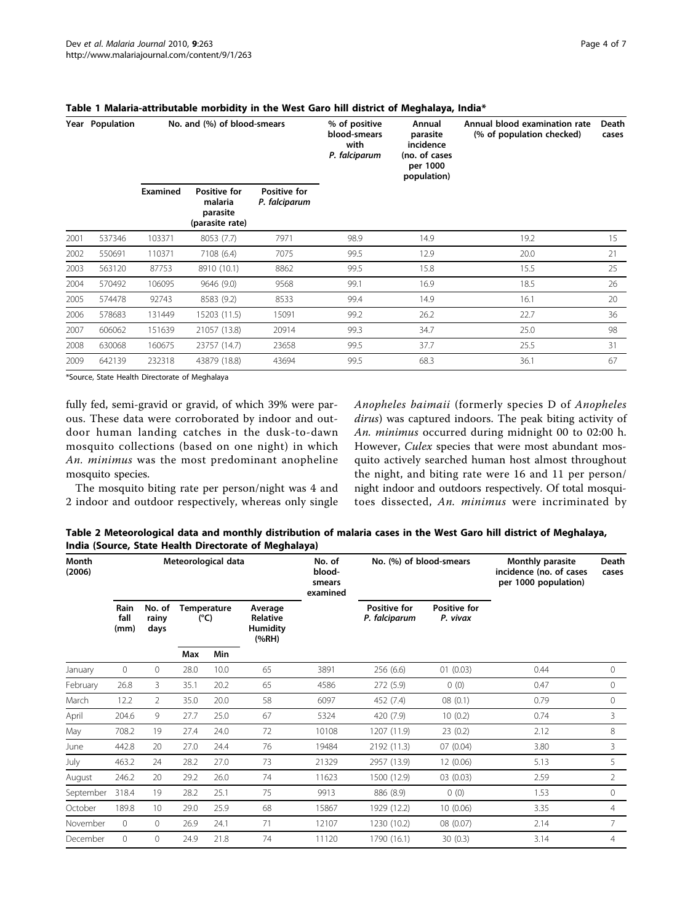| Year | Population |          | No. and (%) of blood-smears                                   |                                      | % of positive<br>blood-smears<br>with<br>P. falciparum | Annual<br>parasite<br>incidence<br>(no. of cases<br>per 1000<br>population) | Annual blood examination rate<br>(% of population checked) | Death<br>cases |
|------|------------|----------|---------------------------------------------------------------|--------------------------------------|--------------------------------------------------------|-----------------------------------------------------------------------------|------------------------------------------------------------|----------------|
|      |            | Examined | <b>Positive for</b><br>malaria<br>parasite<br>(parasite rate) | <b>Positive for</b><br>P. falciparum |                                                        |                                                                             |                                                            |                |
| 2001 | 537346     | 103371   | 8053 (7.7)                                                    | 7971                                 | 98.9                                                   | 14.9                                                                        | 19.2                                                       | 15             |
| 2002 | 550691     | 110371   | 7108 (6.4)                                                    | 7075                                 | 99.5                                                   | 12.9                                                                        | 20.0                                                       | 21             |
| 2003 | 563120     | 87753    | 8910 (10.1)                                                   | 8862                                 | 99.5                                                   | 15.8                                                                        | 15.5                                                       | 25             |
| 2004 | 570492     | 106095   | 9646 (9.0)                                                    | 9568                                 | 99.1                                                   | 16.9                                                                        | 18.5                                                       | 26             |
| 2005 | 574478     | 92743    | 8583 (9.2)                                                    | 8533                                 | 99.4                                                   | 14.9                                                                        | 16.1                                                       | 20             |
| 2006 | 578683     | 131449   | 15203 (11.5)                                                  | 15091                                | 99.2                                                   | 26.2                                                                        | 22.7                                                       | 36             |
| 2007 | 606062     | 151639   | 21057 (13.8)                                                  | 20914                                | 99.3                                                   | 34.7                                                                        | 25.0                                                       | 98             |
| 2008 | 630068     | 160675   | 23757 (14.7)                                                  | 23658                                | 99.5                                                   | 37.7                                                                        | 25.5                                                       | 31             |
| 2009 | 642139     | 232318   | 43879 (18.8)                                                  | 43694                                | 99.5                                                   | 68.3                                                                        | 36.1                                                       | 67             |

<span id="page-3-0"></span>

|  | Table 1 Malaria-attributable morbidity in the West Garo hill district of Meghalaya, India* |  |  |  |  |
|--|--------------------------------------------------------------------------------------------|--|--|--|--|
|--|--------------------------------------------------------------------------------------------|--|--|--|--|

\*Source, State Health Directorate of Meghalaya

fully fed, semi-gravid or gravid, of which 39% were parous. These data were corroborated by indoor and outdoor human landing catches in the dusk-to-dawn mosquito collections (based on one night) in which An. minimus was the most predominant anopheline mosquito species.

The mosquito biting rate per person/night was 4 and 2 indoor and outdoor respectively, whereas only single Anopheles baimaii (formerly species D of Anopheles dirus) was captured indoors. The peak biting activity of An. minimus occurred during midnight 00 to 02:00 h. However, Culex species that were most abundant mosquito actively searched human host almost throughout the night, and biting rate were 16 and 11 per person/ night indoor and outdoors respectively. Of total mosquitoes dissected, An. minimus were incriminated by

Table 2 Meteorological data and monthly distribution of malaria cases in the West Garo hill district of Meghalaya, India (Source, State Health Directorate of Meghalaya)

| Month<br>(2006) |                      |                         |                                     | Meteorological data |                                                 | No. of<br>blood-<br>smears<br>examined | No. (%) of blood-smears              |                                 | Monthly parasite<br>incidence (no. of cases<br>per 1000 population) | Death<br>cases |
|-----------------|----------------------|-------------------------|-------------------------------------|---------------------|-------------------------------------------------|----------------------------------------|--------------------------------------|---------------------------------|---------------------------------------------------------------------|----------------|
|                 | Rain<br>fall<br>(mm) | No. of<br>rainy<br>days | <b>Temperature</b><br>$(^{\circ}C)$ |                     | Average<br>Relative<br><b>Humidity</b><br>(%RH) |                                        | <b>Positive for</b><br>P. falciparum | <b>Positive for</b><br>P. vivax |                                                                     |                |
|                 |                      |                         | Max                                 | Min                 |                                                 |                                        |                                      |                                 |                                                                     |                |
| January         | $\circ$              | $\circ$                 | 28.0                                | 10.0                | 65                                              | 3891                                   | 256 (6.6)                            | 01(0.03)                        | 0.44                                                                | $\mathbf{0}$   |
| February        | 26.8                 | 3                       | 35.1                                | 20.2                | 65                                              | 4586                                   | 272 (5.9)                            | 0(0)                            | 0.47                                                                | $\circ$        |
| March           | 12.2                 | $\overline{2}$          | 35.0                                | 20.0                | 58                                              | 6097                                   | 452 (7.4)                            | 08(0.1)                         | 0.79                                                                | $\circ$        |
| April           | 204.6                | 9                       | 27.7                                | 25.0                | 67                                              | 5324                                   | 420 (7.9)                            | 10(0.2)                         | 0.74                                                                | 3              |
| May             | 708.2                | 19                      | 27.4                                | 24.0                | 72                                              | 10108                                  | 1207 (11.9)                          | 23(0.2)                         | 2.12                                                                | 8              |
| June            | 442.8                | 20                      | 27.0                                | 24.4                | 76                                              | 19484                                  | 2192 (11.3)                          | 07(0.04)                        | 3.80                                                                | 3              |
| July            | 463.2                | 24                      | 28.2                                | 27.0                | 73                                              | 21329                                  | 2957 (13.9)                          | 12 (0.06)                       | 5.13                                                                | 5              |
| August          | 246.2                | 20                      | 29.2                                | 26.0                | 74                                              | 11623                                  | 1500 (12.9)                          | 03(0.03)                        | 2.59                                                                | $\overline{2}$ |
| September       | 318.4                | 19                      | 28.2                                | 25.1                | 75                                              | 9913                                   | 886 (8.9)                            | 0(0)                            | 1.53                                                                | $\circ$        |
| October         | 189.8                | 10                      | 29.0                                | 25.9                | 68                                              | 15867                                  | 1929 (12.2)                          | 10(0.06)                        | 3.35                                                                | $\overline{4}$ |
| November        | $\circ$              | $\circ$                 | 26.9                                | 24.1                | 71                                              | 12107                                  | 1230 (10.2)                          | 08 (0.07)                       | 2.14                                                                | 7              |
| December        | $\circ$              | $\circ$                 | 24.9                                | 21.8                | 74                                              | 11120                                  | 1790 (16.1)                          | 30(0.3)                         | 3.14                                                                | $\overline{4}$ |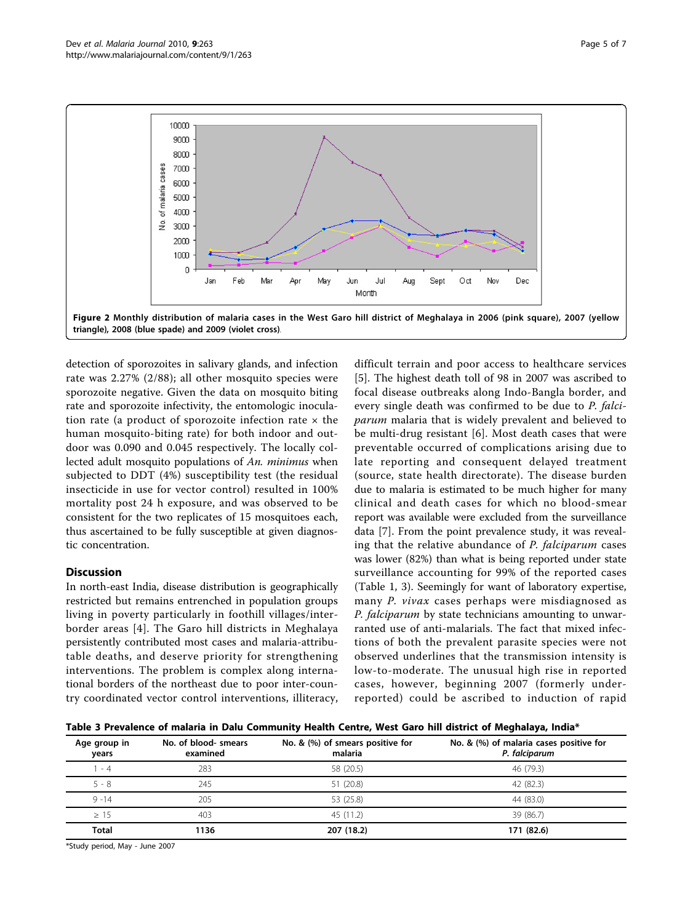<span id="page-4-0"></span>

detection of sporozoites in salivary glands, and infection rate was 2.27% (2/88); all other mosquito species were sporozoite negative. Given the data on mosquito biting rate and sporozoite infectivity, the entomologic inoculation rate (a product of sporozoite infection rate  $\times$  the human mosquito-biting rate) for both indoor and outdoor was 0.090 and 0.045 respectively. The locally collected adult mosquito populations of An. minimus when subjected to DDT (4%) susceptibility test (the residual insecticide in use for vector control) resulted in 100% mortality post 24 h exposure, and was observed to be consistent for the two replicates of 15 mosquitoes each, thus ascertained to be fully susceptible at given diagnostic concentration.

# **Discussion**

In north-east India, disease distribution is geographically restricted but remains entrenched in population groups living in poverty particularly in foothill villages/interborder areas [[4\]](#page-6-0). The Garo hill districts in Meghalaya persistently contributed most cases and malaria-attributable deaths, and deserve priority for strengthening interventions. The problem is complex along international borders of the northeast due to poor inter-country coordinated vector control interventions, illiteracy, difficult terrain and poor access to healthcare services [[5\]](#page-6-0). The highest death toll of 98 in 2007 was ascribed to focal disease outbreaks along Indo-Bangla border, and every single death was confirmed to be due to P. falciparum malaria that is widely prevalent and believed to be multi-drug resistant [[6\]](#page-6-0). Most death cases that were preventable occurred of complications arising due to late reporting and consequent delayed treatment (source, state health directorate). The disease burden due to malaria is estimated to be much higher for many clinical and death cases for which no blood-smear report was available were excluded from the surveillance data [[7](#page-6-0)]. From the point prevalence study, it was revealing that the relative abundance of P. falciparum cases was lower (82%) than what is being reported under state surveillance accounting for 99% of the reported cases (Table [1](#page-3-0), 3). Seemingly for want of laboratory expertise, many P. vivax cases perhaps were misdiagnosed as P. falciparum by state technicians amounting to unwarranted use of anti-malarials. The fact that mixed infections of both the prevalent parasite species were not observed underlines that the transmission intensity is low-to-moderate. The unusual high rise in reported cases, however, beginning 2007 (formerly underreported) could be ascribed to induction of rapid

Table 3 Prevalence of malaria in Dalu Community Health Centre, West Garo hill district of Meghalaya, India\*

| Age group in<br>years | No. of blood- smears<br>examined | No. & (%) of smears positive for<br>malaria | No. & (%) of malaria cases positive for<br>P. falciparum |
|-----------------------|----------------------------------|---------------------------------------------|----------------------------------------------------------|
| 1 - 4                 | 283                              | 58 (20.5)                                   | 46 (79.3)                                                |
| $5 - 8$               | 245                              | 51 (20.8)                                   | 42 (82.3)                                                |
| $9 - 14$              | 205                              | 53 (25.8)                                   | 44 (83.0)                                                |
| >15                   | 403                              | 45 (11.2)                                   | 39 (86.7)                                                |
| <b>Total</b>          | 1136                             | 207 (18.2)                                  | 171 (82.6)                                               |

\*Study period, May - June 2007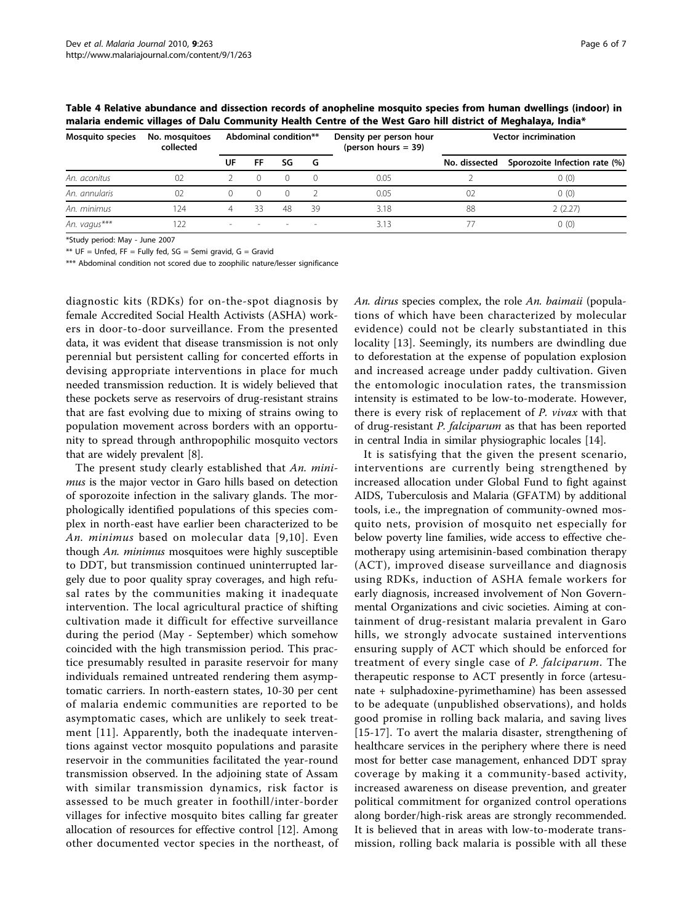| <b>Mosquito species</b> | No. mosquitoes<br>collected | Abdominal condition** |    |    |    | Density per person hour<br>(person hours $=$ 39) | <b>Vector incrimination</b> |                               |
|-------------------------|-----------------------------|-----------------------|----|----|----|--------------------------------------------------|-----------------------------|-------------------------------|
|                         |                             | UF                    | FF | SG | G  |                                                  | No. dissected               | Sporozoite Infection rate (%) |
| An. aconitus            | 02                          |                       |    |    |    | 0.05                                             |                             | 0(0)                          |
| An. annularis           | 02                          |                       |    |    |    | 0.05                                             | 02                          | 0(0)                          |
| An. minimus             | 24                          |                       | २२ | 48 | 39 | 3.18                                             | 88                          | 2(2.27)                       |
| An. vagus***            |                             |                       |    |    |    | 3.13                                             |                             | 0(0)                          |

<span id="page-5-0"></span>Table 4 Relative abundance and dissection records of anopheline mosquito species from human dwellings (indoor) in malaria endemic villages of Dalu Community Health Centre of the West Garo hill district of Meghalaya, India\*

\*Study period: May - June 2007

\*\*  $UF =$  Unfed,  $FF =$  Fully fed,  $SG =$  Semi gravid,  $G =$  Gravid

\*\*\* Abdominal condition not scored due to zoophilic nature/lesser significance

diagnostic kits (RDKs) for on-the-spot diagnosis by female Accredited Social Health Activists (ASHA) workers in door-to-door surveillance. From the presented data, it was evident that disease transmission is not only perennial but persistent calling for concerted efforts in devising appropriate interventions in place for much needed transmission reduction. It is widely believed that these pockets serve as reservoirs of drug-resistant strains that are fast evolving due to mixing of strains owing to population movement across borders with an opportunity to spread through anthropophilic mosquito vectors that are widely prevalent [[8](#page-6-0)].

The present study clearly established that An. minimus is the major vector in Garo hills based on detection of sporozoite infection in the salivary glands. The morphologically identified populations of this species complex in north-east have earlier been characterized to be An. minimus based on molecular data [[9,10\]](#page-6-0). Even though An. minimus mosquitoes were highly susceptible to DDT, but transmission continued uninterrupted largely due to poor quality spray coverages, and high refusal rates by the communities making it inadequate intervention. The local agricultural practice of shifting cultivation made it difficult for effective surveillance during the period (May - September) which somehow coincided with the high transmission period. This practice presumably resulted in parasite reservoir for many individuals remained untreated rendering them asymptomatic carriers. In north-eastern states, 10-30 per cent of malaria endemic communities are reported to be asymptomatic cases, which are unlikely to seek treatment [[11](#page-6-0)]. Apparently, both the inadequate interventions against vector mosquito populations and parasite reservoir in the communities facilitated the year-round transmission observed. In the adjoining state of Assam with similar transmission dynamics, risk factor is assessed to be much greater in foothill/inter-border villages for infective mosquito bites calling far greater allocation of resources for effective control [[12](#page-6-0)]. Among other documented vector species in the northeast, of An. dirus species complex, the role An. baimaii (populations of which have been characterized by molecular evidence) could not be clearly substantiated in this locality [[13\]](#page-6-0). Seemingly, its numbers are dwindling due to deforestation at the expense of population explosion and increased acreage under paddy cultivation. Given the entomologic inoculation rates, the transmission intensity is estimated to be low-to-moderate. However, there is every risk of replacement of P. vivax with that of drug-resistant *P. falciparum* as that has been reported in central India in similar physiographic locales [\[14\]](#page-6-0).

It is satisfying that the given the present scenario, interventions are currently being strengthened by increased allocation under Global Fund to fight against AIDS, Tuberculosis and Malaria (GFATM) by additional tools, i.e., the impregnation of community-owned mosquito nets, provision of mosquito net especially for below poverty line families, wide access to effective chemotherapy using artemisinin-based combination therapy (ACT), improved disease surveillance and diagnosis using RDKs, induction of ASHA female workers for early diagnosis, increased involvement of Non Governmental Organizations and civic societies. Aiming at containment of drug-resistant malaria prevalent in Garo hills, we strongly advocate sustained interventions ensuring supply of ACT which should be enforced for treatment of every single case of P. falciparum. The therapeutic response to ACT presently in force (artesunate + sulphadoxine-pyrimethamine) has been assessed to be adequate (unpublished observations), and holds good promise in rolling back malaria, and saving lives [[15](#page-6-0)-[17\]](#page-6-0). To avert the malaria disaster, strengthening of healthcare services in the periphery where there is need most for better case management, enhanced DDT spray coverage by making it a community-based activity, increased awareness on disease prevention, and greater political commitment for organized control operations along border/high-risk areas are strongly recommended. It is believed that in areas with low-to-moderate transmission, rolling back malaria is possible with all these